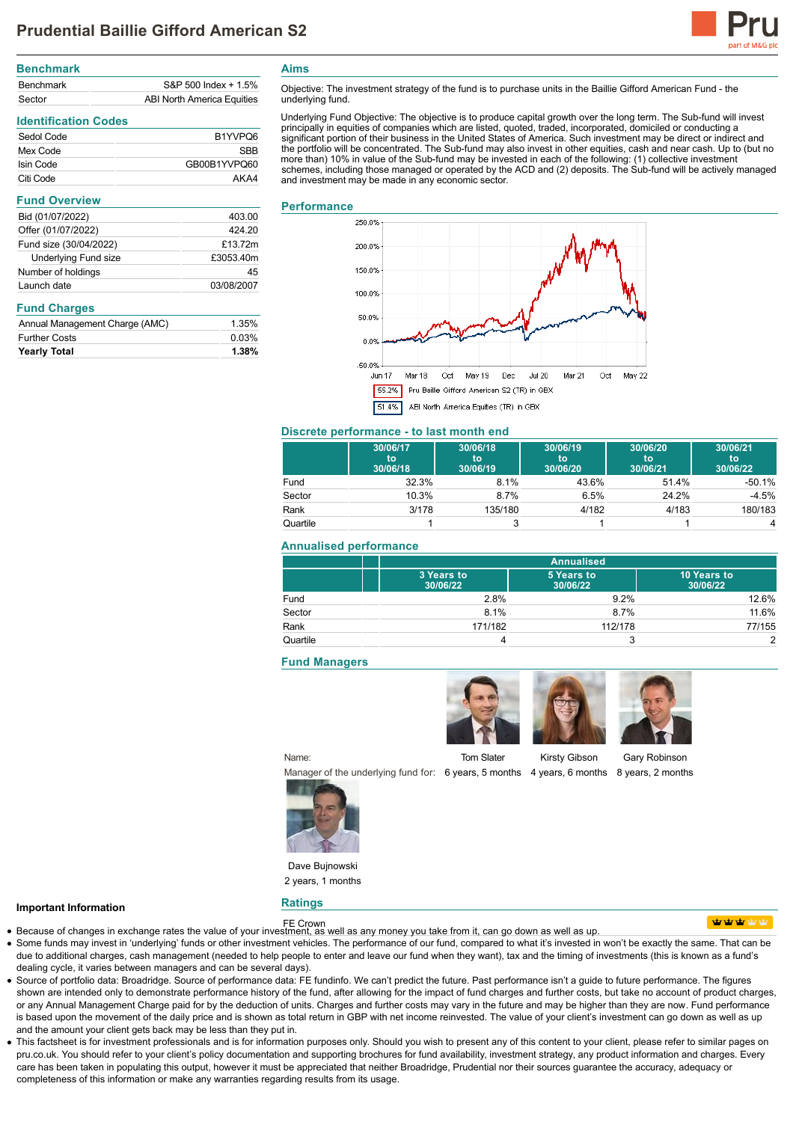

| <b>Benchmark</b> |                            |
|------------------|----------------------------|
| <b>Benchmark</b> | S&P 500 Index + 1.5%       |
| Sector           | ABI North America Equities |

# **Identification Codes**

| Sedol Code | B1YVPO6      |
|------------|--------------|
| Mex Code   | SRR          |
| Isin Code  | GB00B1YVPQ60 |
| Citi Code  | AKA4         |

| 403.00     |
|------------|
| 424.20     |
| £13.72m    |
| £3053.40m  |
| 45         |
| 03/08/2007 |
|            |

## **Fund Charges**

| <b>Yearly Total</b>            | 1.38% |
|--------------------------------|-------|
| <b>Further Costs</b>           | 0.03% |
| Annual Management Charge (AMC) | 1.35% |

**Aims**

Objective: The investment strategy of the fund is to purchase units in the Baillie Gifford American Fund - the underlying fund.

Underlying Fund Objective: The objective is to produce capital growth over the long term. The Sub-fund will invest<br>principally in equities of companies which are listed, quoted, traded, incorporated, domiciled or conductin significant portion of their business in the United States of America. Such investment may be direct or indirect and the portfolio will be concentrated. The Sub-fund may also invest in other equities, cash and near cash. Up to (but no more than) 10% in value of the Sub-fund may be invested in each of the following: (1) collective investment schemes, including those managed or operated by the ACD and (2) deposits. The Sub-fund will be actively managed and investment may be made in any economic sector.

### **Performance**



# **Discrete performance - to last month end**

|          | 30/06/17<br>to<br>30/06/18 | 30/06/18<br>to<br>30/06/19 | 30/06/19<br>to<br>30/06/20 | 30/06/20<br>to<br>30/06/21 | 30/06/21<br>to<br>30/06/22 |
|----------|----------------------------|----------------------------|----------------------------|----------------------------|----------------------------|
| Fund     | 32.3%                      | 8.1%                       | 43.6%                      | 51.4%                      | $-50.1%$                   |
| Sector   | 10.3%                      | 8.7%                       | 6.5%                       | 24.2%                      | $-4.5%$                    |
| Rank     | 3/178                      | 135/180                    | 4/182                      | 4/183                      | 180/183                    |
| Quartile |                            |                            |                            |                            | 4                          |

## **Annualised performance**

|          | <b>Annualised</b>      |                        |                         |
|----------|------------------------|------------------------|-------------------------|
|          | 3 Years to<br>30/06/22 | 5 Years to<br>30/06/22 | 10 Years to<br>30/06/22 |
| Fund     | 2.8%                   | 9.2%                   | 12.6%                   |
| Sector   | 8.1%                   | 8.7%                   | 11.6%                   |
| Rank     | 171/182                | 112/178                | 77/155                  |
| Quartile |                        |                        | っ                       |

## **Fund Managers**

Tom Slater

Kirsty Gibson

Manager of the underlying fund for: 6 years, 5 months 4 years, 6 months 8 years, 2 months



Name:

Dave Bujnowski 2 years, 1 months

**Ratings**

### **Important Information**

- FE Crown Because of changes in exchange rates the value of your investment, as well as any money you take from it, can go down as well as up.
- Some funds may invest in 'underlying' funds or other investment vehicles. The performance of our fund, compared to what it's invested in won't be exactly the same. That can be
- due to additional charges, cash management (needed to help people to enter and leave our fund when they want), tax and the timing of investments (this is known as a fund's dealing cycle, it varies between managers and can be several days).
- Source of portfolio data: Broadridge. Source of performance data: FE fundinfo. We can't predict the future. Past performance isn't a guide to future performance. The figures shown are intended only to demonstrate performance history of the fund, after allowing for the impact of fund charges and further costs, but take no account of product charges, or any Annual Management Charge paid for by the deduction of units. Charges and further costs may vary in the future and may be higher than they are now. Fund performance is based upon the movement of the daily price and is shown as total return in GBP with net income reinvested. The value of your client's investment can go down as well as up and the amount your client gets back may be less than they put in.
- This factsheet is for investment professionals and is for information purposes only. Should you wish to present any of this content to your client, please refer to similar pages on pru.co.uk. You should refer to your client's policy documentation and supporting brochures for fund availability, investment strategy, any product information and charges. Every care has been taken in populating this output, however it must be appreciated that neither Broadridge, Prudential nor their sources guarantee the accuracy, adequacy or completeness of this information or make any warranties regarding results from its usage.





the things